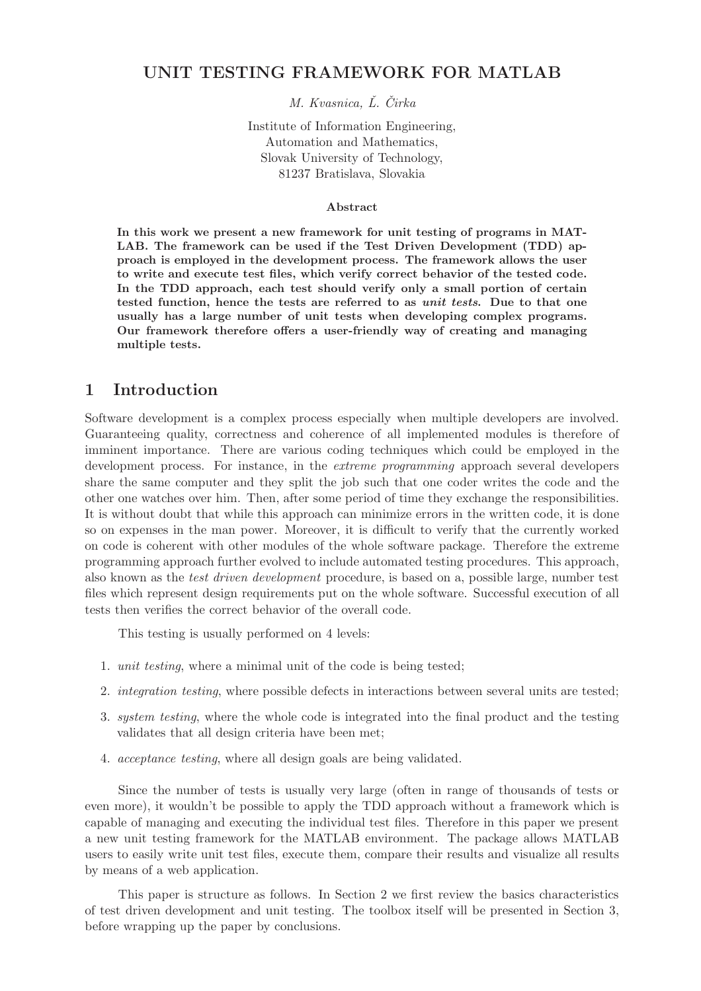### UNIT TESTING FRAMEWORK FOR MATLAB

M. Kvasnica, L. Čirka

Institute of Information Engineering, Automation and Mathematics, Slovak University of Technology, 81237 Bratislava, Slovakia

#### Abstract

In this work we present a new framework for unit testing of programs in MAT-LAB. The framework can be used if the Test Driven Development (TDD) approach is employed in the development process. The framework allows the user to write and execute test files, which verify correct behavior of the tested code. In the TDD approach, each test should verify only a small portion of certain tested function, hence the tests are referred to as unit tests. Due to that one usually has a large number of unit tests when developing complex programs. Our framework therefore offers a user-friendly way of creating and managing multiple tests.

### 1 Introduction

Software development is a complex process especially when multiple developers are involved. Guaranteeing quality, correctness and coherence of all implemented modules is therefore of imminent importance. There are various coding techniques which could be employed in the development process. For instance, in the *extreme programming* approach several developers share the same computer and they split the job such that one coder writes the code and the other one watches over him. Then, after some period of time they exchange the responsibilities. It is without doubt that while this approach can minimize errors in the written code, it is done so on expenses in the man power. Moreover, it is difficult to verify that the currently worked on code is coherent with other modules of the whole software package. Therefore the extreme programming approach further evolved to include automated testing procedures. This approach, also known as the test driven development procedure, is based on a, possible large, number test files which represent design requirements put on the whole software. Successful execution of all tests then verifies the correct behavior of the overall code.

This testing is usually performed on 4 levels:

- 1. unit testing, where a minimal unit of the code is being tested;
- 2. integration testing, where possible defects in interactions between several units are tested;
- 3. system testing, where the whole code is integrated into the final product and the testing validates that all design criteria have been met;
- 4. acceptance testing, where all design goals are being validated.

Since the number of tests is usually very large (often in range of thousands of tests or even more), it wouldn't be possible to apply the TDD approach without a framework which is capable of managing and executing the individual test files. Therefore in this paper we present a new unit testing framework for the MATLAB environment. The package allows MATLAB users to easily write unit test files, execute them, compare their results and visualize all results by means of a web application.

This paper is structure as follows. In Section 2 we first review the basics characteristics of test driven development and unit testing. The toolbox itself will be presented in Section 3, before wrapping up the paper by conclusions.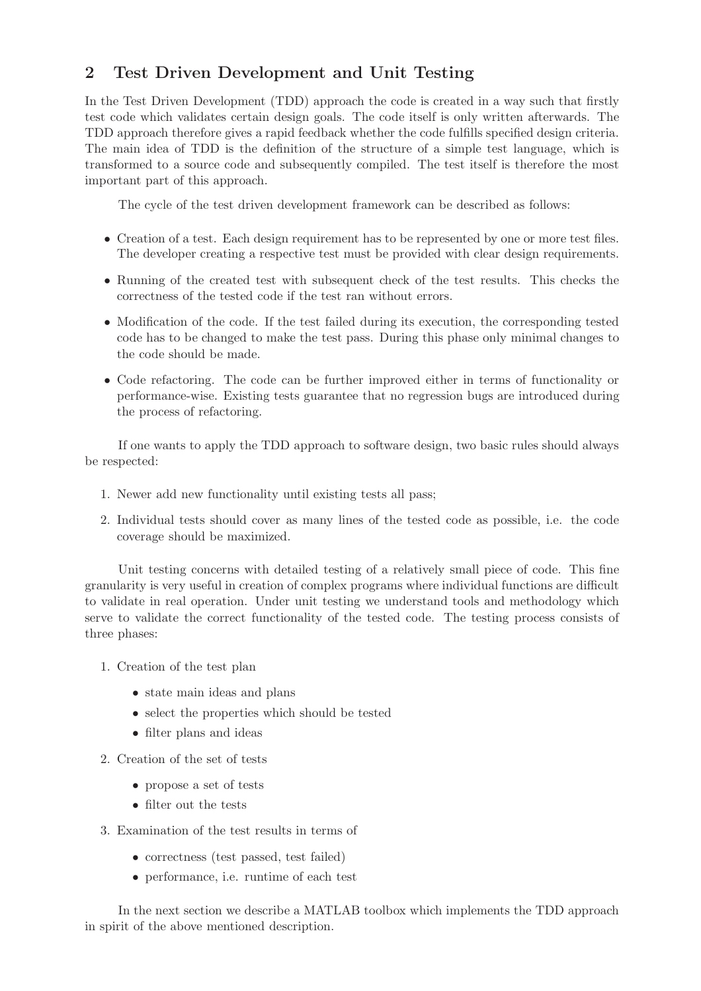# 2 Test Driven Development and Unit Testing

In the Test Driven Development (TDD) approach the code is created in a way such that firstly test code which validates certain design goals. The code itself is only written afterwards. The TDD approach therefore gives a rapid feedback whether the code fulfills specified design criteria. The main idea of TDD is the definition of the structure of a simple test language, which is transformed to a source code and subsequently compiled. The test itself is therefore the most important part of this approach.

The cycle of the test driven development framework can be described as follows:

- Creation of a test. Each design requirement has to be represented by one or more test files. The developer creating a respective test must be provided with clear design requirements.
- Running of the created test with subsequent check of the test results. This checks the correctness of the tested code if the test ran without errors.
- Modification of the code. If the test failed during its execution, the corresponding tested code has to be changed to make the test pass. During this phase only minimal changes to the code should be made.
- Code refactoring. The code can be further improved either in terms of functionality or performance-wise. Existing tests guarantee that no regression bugs are introduced during the process of refactoring.

If one wants to apply the TDD approach to software design, two basic rules should always be respected:

- 1. Newer add new functionality until existing tests all pass;
- 2. Individual tests should cover as many lines of the tested code as possible, i.e. the code coverage should be maximized.

Unit testing concerns with detailed testing of a relatively small piece of code. This fine granularity is very useful in creation of complex programs where individual functions are difficult to validate in real operation. Under unit testing we understand tools and methodology which serve to validate the correct functionality of the tested code. The testing process consists of three phases:

- 1. Creation of the test plan
	- state main ideas and plans
	- select the properties which should be tested
	- filter plans and ideas
- 2. Creation of the set of tests
	- propose a set of tests
	- filter out the tests
- 3. Examination of the test results in terms of
	- correctness (test passed, test failed)
	- performance, i.e. runtime of each test

In the next section we describe a MATLAB toolbox which implements the TDD approach in spirit of the above mentioned description.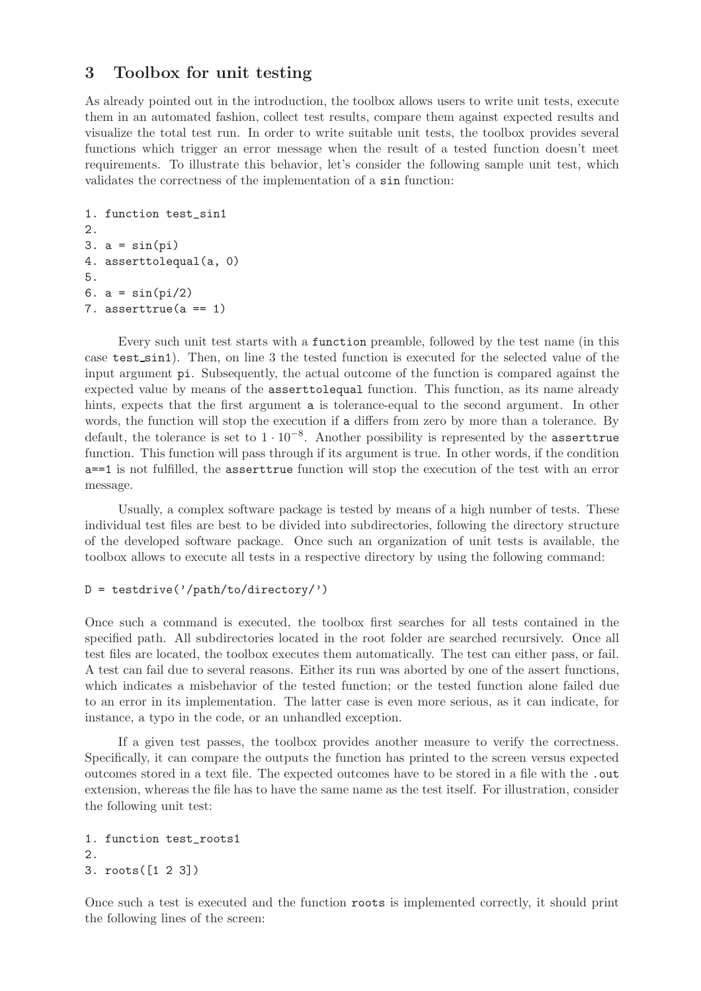## 3 Toolbox for unit testing

As already pointed out in the introduction, the toolbox allows users to write unit tests, execute them in an automated fashion, collect test results, compare them against expected results and visualize the total test run. In order to write suitable unit tests, the toolbox provides several functions which trigger an error message when the result of a tested function doesn't meet requirements. To illustrate this behavior, let's consider the following sample unit test, which validates the correctness of the implementation of a sin function:

```
1. function test_sin1
2.
3. a = sin(pi)4. asserttolequal(a, 0)
5.
6. a = \sin(\pi i/2)7. asserttrue(a == 1)
```
Every such unit test starts with a function preamble, followed by the test name (in this case test sin1). Then, on line 3 the tested function is executed for the selected value of the input argument pi. Subsequently, the actual outcome of the function is compared against the expected value by means of the asserttolequal function. This function, as its name already hints, expects that the first argument **a** is tolerance-equal to the second argument. In other words, the function will stop the execution if a differs from zero by more than a tolerance. By default, the tolerance is set to 1 · 10−<sup>8</sup> . Another possibility is represented by the asserttrue function. This function will pass through if its argument is true. In other words, if the condition a==1 is not fulfilled, the asserttrue function will stop the execution of the test with an error message.

Usually, a complex software package is tested by means of a high number of tests. These individual test files are best to be divided into subdirectories, following the directory structure of the developed software package. Once such an organization of unit tests is available, the toolbox allows to execute all tests in a respective directory by using the following command:

#### $D = \text{testdrive}(')/\text{path/to/directory}/')$

Once such a command is executed, the toolbox first searches for all tests contained in the specified path. All subdirectories located in the root folder are searched recursively. Once all test files are located, the toolbox executes them automatically. The test can either pass, or fail. A test can fail due to several reasons. Either its run was aborted by one of the assert functions, which indicates a misbehavior of the tested function; or the tested function alone failed due to an error in its implementation. The latter case is even more serious, as it can indicate, for instance, a typo in the code, or an unhandled exception.

If a given test passes, the toolbox provides another measure to verify the correctness. Specifically, it can compare the outputs the function has printed to the screen versus expected outcomes stored in a text file. The expected outcomes have to be stored in a file with the .out extension, whereas the file has to have the same name as the test itself. For illustration, consider the following unit test:

```
1. function test_roots1
2.
3. roots([1 2 3])
```
Once such a test is executed and the function roots is implemented correctly, it should print the following lines of the screen: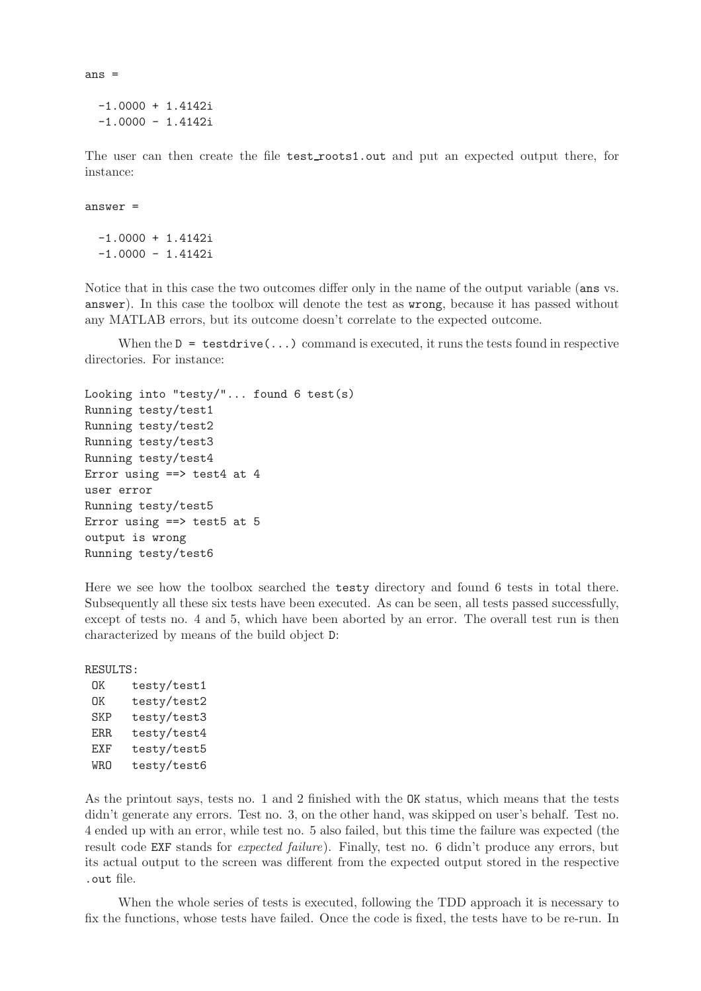```
-1.0000 + 1.4142i
-1.0000 - 1.4142i
```
The user can then create the file test\_roots1.out and put an expected output there, for instance:

answer =

ans =

 $-1.0000 + 1.4142i$  $-1.0000 - 1.4142i$ 

Notice that in this case the two outcomes differ only in the name of the output variable (ans vs. answer). In this case the toolbox will denote the test as wrong, because it has passed without any MATLAB errors, but its outcome doesn't correlate to the expected outcome.

When the  $D = \text{testdrive}(...)$  command is executed, it runs the tests found in respective directories. For instance:

```
Looking into "testy/"... found 6 test(s)
Running testy/test1
Running testy/test2
Running testy/test3
Running testy/test4
Error using ==> test4 at 4
user error
Running testy/test5
Error using ==> test5 at 5
output is wrong
Running testy/test6
```
Here we see how the toolbox searched the testy directory and found 6 tests in total there. Subsequently all these six tests have been executed. As can be seen, all tests passed successfully, except of tests no. 4 and 5, which have been aborted by an error. The overall test run is then characterized by means of the build object D:

RESULTS:

OK testy/test1 OK testy/test2 SKP testy/test3 ERR testy/test4 EXF testy/test5 WRO testy/test6

As the printout says, tests no. 1 and 2 finished with the OK status, which means that the tests didn't generate any errors. Test no. 3, on the other hand, was skipped on user's behalf. Test no. 4 ended up with an error, while test no. 5 also failed, but this time the failure was expected (the result code EXF stands for expected failure). Finally, test no. 6 didn't produce any errors, but its actual output to the screen was different from the expected output stored in the respective .out file.

When the whole series of tests is executed, following the TDD approach it is necessary to fix the functions, whose tests have failed. Once the code is fixed, the tests have to be re-run. In